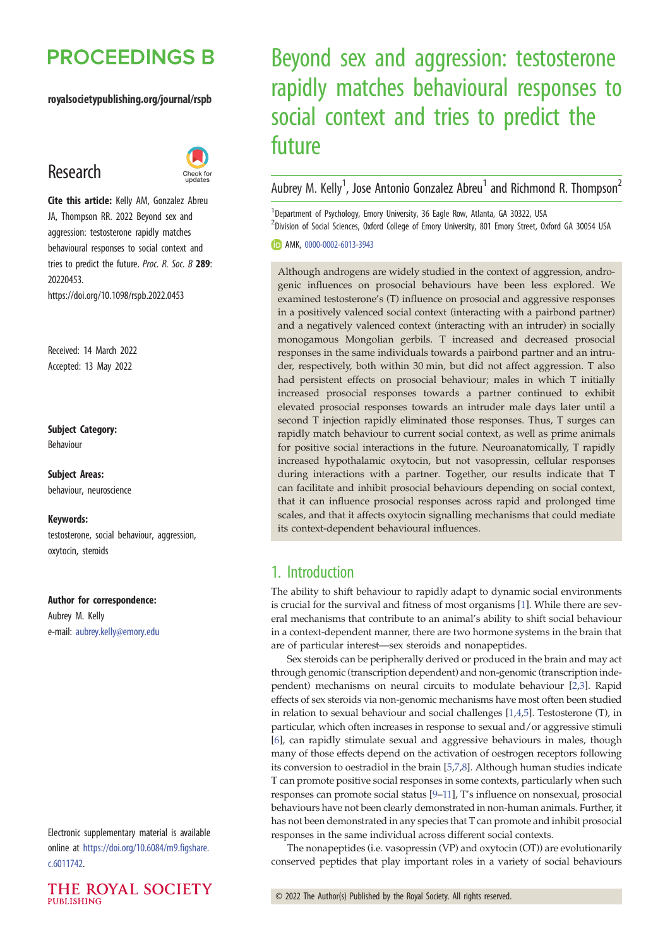## **PROCEEDINGS B**

#### royalsocietypublishing.org/journal/rspb

## Research



Cite this article: Kelly AM, Gonzalez Abreu JA, Thompson RR. 2022 Beyond sex and aggression: testosterone rapidly matches behavioural responses to social context and tries to predict the future. Proc. R. Soc. B 289: 20220453. https://doi.org/10.1098/rspb.2022.0453

Received: 14 March 2022 Accepted: 13 May 2022

## Subject Category:

Behaviour

Subject Areas: behaviour, neuroscience

#### Keywords:

testosterone, social behaviour, aggression, oxytocin, steroids

#### Author for correspondence:

Aubrey M. Kelly e-mail: [aubrey.kelly@emory.edu](mailto:aubrey.kelly@emory.edu)

Electronic supplementary material is available online at [https://doi.org/10.6084/m9.figshare.](https://doi.org/10.6084/m9.figshare.c.6011742) [c.6011742.](https://doi.org/10.6084/m9.figshare.c.6011742)



# Beyond sex and aggression: testosterone rapidly matches behavioural responses to social context and tries to predict the future

Aubrey M. Kelly<sup>1</sup>, Jose Antonio Gonzalez Abreu<sup>1</sup> and Richmond R. Thompson<sup>2</sup>

<sup>1</sup>Department of Psychology, Emory University, 36 Eagle Row, Atlanta, GA 30322, USA <sup>2</sup>Division of Social Sciences, Oxford College of Emory University, 801 Emory Street, Oxford GA 30054 USA

#### **D** AMK, [0000-0002-6013-3943](http://orcid.org/0000-0002-6013-3943)

Although androgens are widely studied in the context of aggression, androgenic influences on prosocial behaviours have been less explored. We examined testosterone's (T) influence on prosocial and aggressive responses in a positively valenced social context (interacting with a pairbond partner) and a negatively valenced context (interacting with an intruder) in socially monogamous Mongolian gerbils. T increased and decreased prosocial responses in the same individuals towards a pairbond partner and an intruder, respectively, both within 30 min, but did not affect aggression. T also had persistent effects on prosocial behaviour; males in which T initially increased prosocial responses towards a partner continued to exhibit elevated prosocial responses towards an intruder male days later until a second T injection rapidly eliminated those responses. Thus, T surges can rapidly match behaviour to current social context, as well as prime animals for positive social interactions in the future. Neuroanatomically, T rapidly increased hypothalamic oxytocin, but not vasopressin, cellular responses during interactions with a partner. Together, our results indicate that T can facilitate and inhibit prosocial behaviours depending on social context, that it can influence prosocial responses across rapid and prolonged time scales, and that it affects oxytocin signalling mechanisms that could mediate its context-dependent behavioural influences.

## 1. Introduction

The ability to shift behaviour to rapidly adapt to dynamic social environments is crucial for the survival and fitness of most organisms [[1](#page-8-0)]. While there are several mechanisms that contribute to an animal's ability to shift social behaviour in a context-dependent manner, there are two hormone systems in the brain that are of particular interest—sex steroids and nonapeptides.

Sex steroids can be peripherally derived or produced in the brain and may act through genomic (transcription dependent) and non-genomic (transcription independent) mechanisms on neural circuits to modulate behaviour [[2,3\]](#page-8-0). Rapid effects of sex steroids via non-genomic mechanisms have most often been studied in relation to sexual behaviour and social challenges [\[1,4](#page-8-0),[5\]](#page-8-0). Testosterone (T), in particular, which often increases in response to sexual and/or aggressive stimuli [[6](#page-8-0)], can rapidly stimulate sexual and aggressive behaviours in males, though many of those effects depend on the activation of oestrogen receptors following its conversion to oestradiol in the brain [\[5,7](#page-8-0),[8](#page-8-0)]. Although human studies indicate T can promote positive social responses in some contexts, particularly when such responses can promote social status [\[9](#page-8-0)–[11\]](#page-8-0), T's influence on nonsexual, prosocial behaviours have not been clearly demonstrated in non-human animals. Further, it has not been demonstrated in any species that T can promote and inhibit prosocial responses in the same individual across different social contexts.

The nonapeptides (i.e. vasopressin (VP) and oxytocin (OT)) are evolutionarily conserved peptides that play important roles in a variety of social behaviours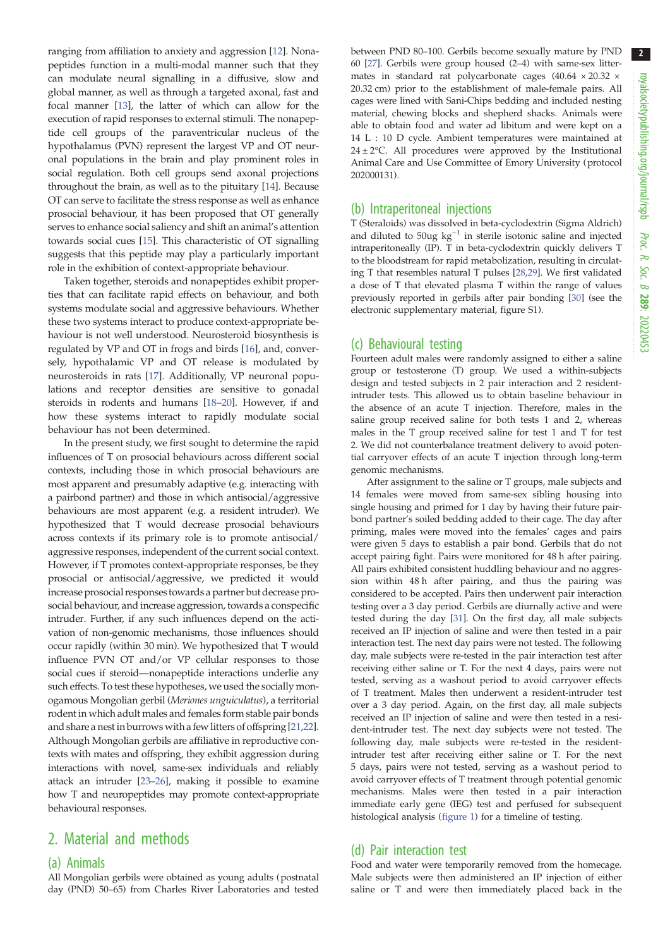ranging from affiliation to anxiety and aggression [\[12](#page-8-0)]. Nonapeptides function in a multi-modal manner such that they can modulate neural signalling in a diffusive, slow and global manner, as well as through a targeted axonal, fast and focal manner [[13\]](#page-8-0), the latter of which can allow for the execution of rapid responses to external stimuli. The nonapeptide cell groups of the paraventricular nucleus of the hypothalamus (PVN) represent the largest VP and OT neuronal populations in the brain and play prominent roles in social regulation. Both cell groups send axonal projections throughout the brain, as well as to the pituitary [[14\]](#page-8-0). Because OT can serve to facilitate the stress response as well as enhance prosocial behaviour, it has been proposed that OT generally serves to enhance social saliency and shift an animal's attention towards social cues [[15](#page-8-0)]. This characteristic of OT signalling suggests that this peptide may play a particularly important role in the exhibition of context-appropriate behaviour.

Taken together, steroids and nonapeptides exhibit properties that can facilitate rapid effects on behaviour, and both systems modulate social and aggressive behaviours. Whether these two systems interact to produce context-appropriate behaviour is not well understood. Neurosteroid biosynthesis is regulated by VP and OT in frogs and birds [\[16](#page-8-0)], and, conversely, hypothalamic VP and OT release is modulated by neurosteroids in rats [\[17](#page-8-0)]. Additionally, VP neuronal populations and receptor densities are sensitive to gonadal steroids in rodents and humans [[18](#page-8-0)–[20\]](#page-8-0). However, if and how these systems interact to rapidly modulate social behaviour has not been determined.

In the present study, we first sought to determine the rapid influences of T on prosocial behaviours across different social contexts, including those in which prosocial behaviours are most apparent and presumably adaptive (e.g. interacting with a pairbond partner) and those in which antisocial/aggressive behaviours are most apparent (e.g. a resident intruder). We hypothesized that T would decrease prosocial behaviours across contexts if its primary role is to promote antisocial/ aggressive responses, independent of the current social context. However, if T promotes context-appropriate responses, be they prosocial or antisocial/aggressive, we predicted it would increase prosocial responses towards a partner but decrease prosocial behaviour, and increase aggression, towards a conspecific intruder. Further, if any such influences depend on the activation of non-genomic mechanisms, those influences should occur rapidly (within 30 min). We hypothesized that T would influence PVN OT and/or VP cellular responses to those social cues if steroid—nonapeptide interactions underlie any such effects. To test these hypotheses, we used the socially monogamous Mongolian gerbil (Meriones unguiculatus), a territorial rodent in which adult males and females form stable pair bonds and share a nest in burrows with a few litters of offspring [[21](#page-8-0),[22](#page-8-0)]. Although Mongolian gerbils are affiliative in reproductive contexts with mates and offspring, they exhibit aggression during interactions with novel, same-sex individuals and reliably attack an intruder [[23](#page-8-0)–[26\]](#page-9-0), making it possible to examine how T and neuropeptides may promote context-appropriate behavioural responses.

## 2. Material and methods

#### (a) Animals

All Mongolian gerbils were obtained as young adults (postnatal day (PND) 50–65) from Charles River Laboratories and tested between PND 80–100. Gerbils become sexually mature by PND 60 [[27](#page-9-0)]. Gerbils were group housed (2–4) with same-sex littermates in standard rat polycarbonate cages  $(40.64 \times 20.32 \times$ 20.32 cm) prior to the establishment of male-female pairs. All cages were lined with Sani-Chips bedding and included nesting material, chewing blocks and shepherd shacks. Animals were able to obtain food and water ad libitum and were kept on a 14 L : 10 D cycle. Ambient temperatures were maintained at  $24 \pm 2$ °C. All procedures were approved by the Institutional Animal Care and Use Committee of Emory University (protocol 202000131).

#### (b) Intraperitoneal injections

T (Steraloids) was dissolved in beta-cyclodextrin (Sigma Aldrich) and diluted to 50ug kg−<sup>1</sup> in sterile isotonic saline and injected intraperitoneally (IP). T in beta-cyclodextrin quickly delivers T to the bloodstream for rapid metabolization, resulting in circulating T that resembles natural T pulses [\[28,29\]](#page-9-0). We first validated a dose of T that elevated plasma T within the range of values previously reported in gerbils after pair bonding [[30\]](#page-9-0) (see the electronic supplementary material, figure S1).

#### (c) Behavioural testing

Fourteen adult males were randomly assigned to either a saline group or testosterone (T) group. We used a within-subjects design and tested subjects in 2 pair interaction and 2 residentintruder tests. This allowed us to obtain baseline behaviour in the absence of an acute T injection. Therefore, males in the saline group received saline for both tests 1 and 2, whereas males in the T group received saline for test 1 and T for test 2. We did not counterbalance treatment delivery to avoid potential carryover effects of an acute T injection through long-term genomic mechanisms.

After assignment to the saline or T groups, male subjects and 14 females were moved from same-sex sibling housing into single housing and primed for 1 day by having their future pairbond partner's soiled bedding added to their cage. The day after priming, males were moved into the females' cages and pairs were given 5 days to establish a pair bond. Gerbils that do not accept pairing fight. Pairs were monitored for 48 h after pairing. All pairs exhibited consistent huddling behaviour and no aggression within 48 h after pairing, and thus the pairing was considered to be accepted. Pairs then underwent pair interaction testing over a 3 day period. Gerbils are diurnally active and were tested during the day [\[31\]](#page-9-0). On the first day, all male subjects received an IP injection of saline and were then tested in a pair interaction test. The next day pairs were not tested. The following day, male subjects were re-tested in the pair interaction test after receiving either saline or T. For the next 4 days, pairs were not tested, serving as a washout period to avoid carryover effects of T treatment. Males then underwent a resident-intruder test over a 3 day period. Again, on the first day, all male subjects received an IP injection of saline and were then tested in a resident-intruder test. The next day subjects were not tested. The following day, male subjects were re-tested in the residentintruder test after receiving either saline or T. For the next 5 days, pairs were not tested, serving as a washout period to avoid carryover effects of T treatment through potential genomic mechanisms. Males were then tested in a pair interaction immediate early gene (IEG) test and perfused for subsequent histological analysis [\(figure 1](#page-2-0)) for a timeline of testing.

#### (d) Pair interaction test

Food and water were temporarily removed from the homecage. Male subjects were then administered an IP injection of either saline or T and were then immediately placed back in the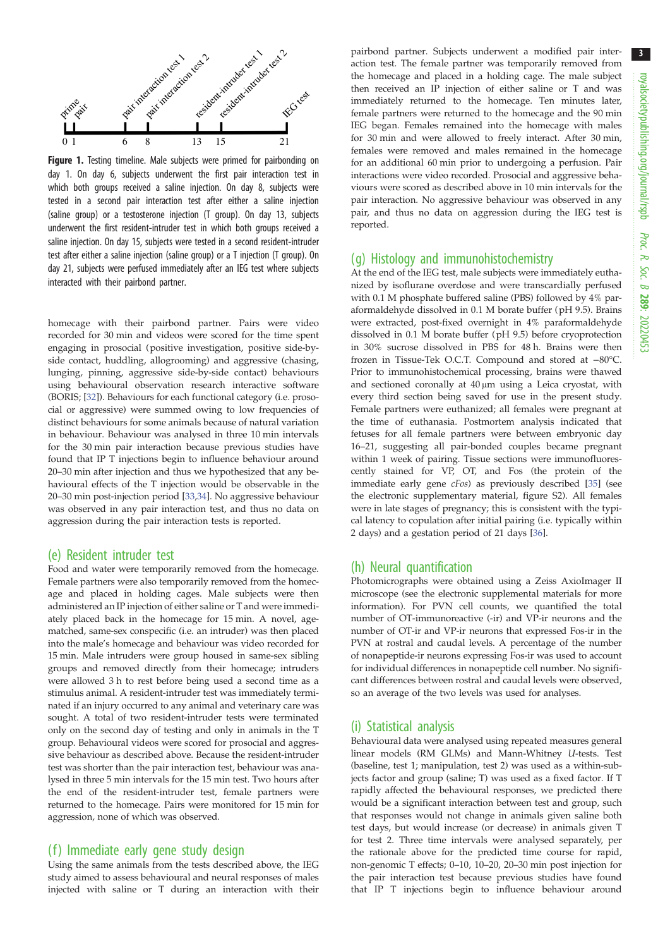<span id="page-2-0"></span>

Figure 1. Testing timeline. Male subjects were primed for pairbonding on day 1. On day 6, subjects underwent the first pair interaction test in which both groups received a saline injection. On day 8, subjects were tested in a second pair interaction test after either a saline injection (saline group) or a testosterone injection (T group). On day 13, subjects underwent the first resident-intruder test in which both groups received a saline injection. On day 15, subjects were tested in a second resident-intruder test after either a saline injection (saline group) or a T injection (T group). On day 21, subjects were perfused immediately after an IEG test where subjects interacted with their pairbond partner.

homecage with their pairbond partner. Pairs were video recorded for 30 min and videos were scored for the time spent engaging in prosocial (positive investigation, positive side-byside contact, huddling, allogrooming) and aggressive (chasing, lunging, pinning, aggressive side-by-side contact) behaviours using behavioural observation research interactive software (BORIS; [\[32](#page-9-0)]). Behaviours for each functional category (i.e. prosocial or aggressive) were summed owing to low frequencies of distinct behaviours for some animals because of natural variation in behaviour. Behaviour was analysed in three 10 min intervals for the 30 min pair interaction because previous studies have found that IP T injections begin to influence behaviour around 20–30 min after injection and thus we hypothesized that any behavioural effects of the T injection would be observable in the 20–30 min post-injection period [[33,34\]](#page-9-0). No aggressive behaviour was observed in any pair interaction test, and thus no data on aggression during the pair interaction tests is reported.

#### (e) Resident intruder test

Food and water were temporarily removed from the homecage. Female partners were also temporarily removed from the homecage and placed in holding cages. Male subjects were then administered an IP injection of either saline or T and were immediately placed back in the homecage for 15 min. A novel, agematched, same-sex conspecific (i.e. an intruder) was then placed into the male's homecage and behaviour was video recorded for 15 min. Male intruders were group housed in same-sex sibling groups and removed directly from their homecage; intruders were allowed 3 h to rest before being used a second time as a stimulus animal. A resident-intruder test was immediately terminated if an injury occurred to any animal and veterinary care was sought. A total of two resident-intruder tests were terminated only on the second day of testing and only in animals in the T group. Behavioural videos were scored for prosocial and aggressive behaviour as described above. Because the resident-intruder test was shorter than the pair interaction test, behaviour was analysed in three 5 min intervals for the 15 min test. Two hours after the end of the resident-intruder test, female partners were returned to the homecage. Pairs were monitored for 15 min for aggression, none of which was observed.

#### (f) Immediate early gene study design

Using the same animals from the tests described above, the IEG study aimed to assess behavioural and neural responses of males injected with saline or T during an interaction with their pairbond partner. Subjects underwent a modified pair interaction test. The female partner was temporarily removed from the homecage and placed in a holding cage. The male subject then received an IP injection of either saline or T and was immediately returned to the homecage. Ten minutes later, female partners were returned to the homecage and the 90 min IEG began. Females remained into the homecage with males for 30 min and were allowed to freely interact. After 30 min, females were removed and males remained in the homecage for an additional 60 min prior to undergoing a perfusion. Pair interactions were video recorded. Prosocial and aggressive behaviours were scored as described above in 10 min intervals for the pair interaction. No aggressive behaviour was observed in any pair, and thus no data on aggression during the IEG test is reported.

#### (g) Histology and immunohistochemistry

At the end of the IEG test, male subjects were immediately euthanized by isoflurane overdose and were transcardially perfused with 0.1 M phosphate buffered saline (PBS) followed by 4% paraformaldehyde dissolved in 0.1 M borate buffer (pH 9.5). Brains were extracted, post-fixed overnight in 4% paraformaldehyde dissolved in 0.1 M borate buffer (pH 9.5) before cryoprotection in 30% sucrose dissolved in PBS for 48 h. Brains were then frozen in Tissue-Tek O.C.T. Compound and stored at −80°C. Prior to immunohistochemical processing, brains were thawed and sectioned coronally at 40 μm using a Leica cryostat, with every third section being saved for use in the present study. Female partners were euthanized; all females were pregnant at the time of euthanasia. Postmortem analysis indicated that fetuses for all female partners were between embryonic day 16–21, suggesting all pair-bonded couples became pregnant within 1 week of pairing. Tissue sections were immunofluorescently stained for VP, OT, and Fos (the protein of the immediate early gene cFos) as previously described [[35](#page-9-0)] (see the electronic supplementary material, figure S2). All females were in late stages of pregnancy; this is consistent with the typical latency to copulation after initial pairing (i.e. typically within 2 days) and a gestation period of 21 days [[36](#page-9-0)].

#### (h) Neural quantification

Photomicrographs were obtained using a Zeiss AxioImager II microscope (see the electronic supplemental materials for more information). For PVN cell counts, we quantified the total number of OT-immunoreactive (-ir) and VP-ir neurons and the number of OT-ir and VP-ir neurons that expressed Fos-ir in the PVN at rostral and caudal levels. A percentage of the number of nonapeptide-ir neurons expressing Fos-ir was used to account for individual differences in nonapeptide cell number. No significant differences between rostral and caudal levels were observed, so an average of the two levels was used for analyses.

#### (i) Statistical analysis

Behavioural data were analysed using repeated measures general linear models (RM GLMs) and Mann-Whitney U-tests. Test (baseline, test 1; manipulation, test 2) was used as a within-subjects factor and group (saline; T) was used as a fixed factor. If T rapidly affected the behavioural responses, we predicted there would be a significant interaction between test and group, such that responses would not change in animals given saline both test days, but would increase (or decrease) in animals given T for test 2. Three time intervals were analysed separately, per the rationale above for the predicted time course for rapid, non-genomic T effects; 0–10, 10–20, 20–30 min post injection for the pair interaction test because previous studies have found that IP T injections begin to influence behaviour around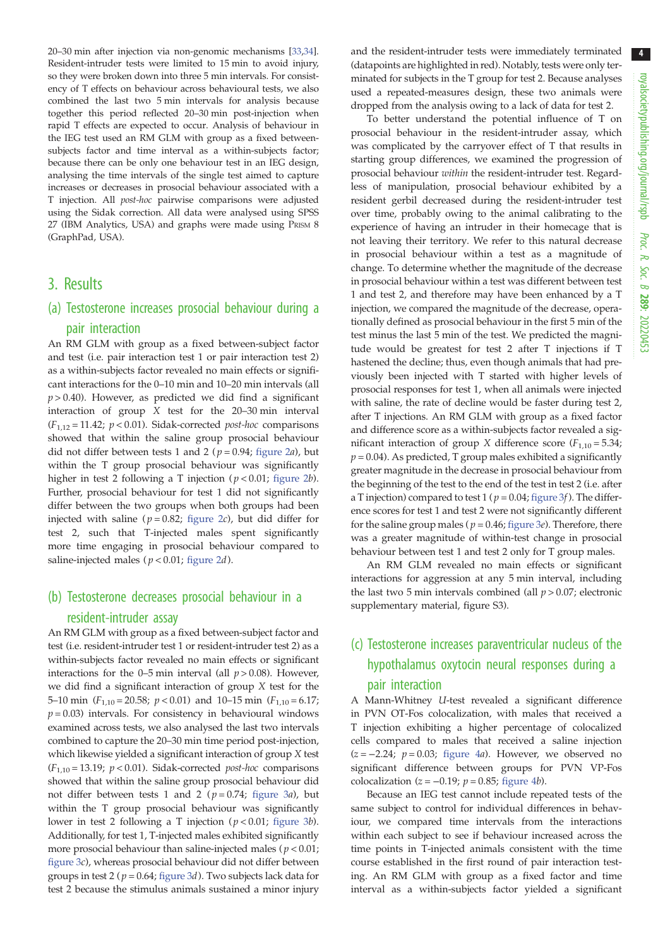20–30 min after injection via non-genomic mechanisms [\[33,34\]](#page-9-0). Resident-intruder tests were limited to 15 min to avoid injury, so they were broken down into three 5 min intervals. For consistency of T effects on behaviour across behavioural tests, we also combined the last two 5 min intervals for analysis because together this period reflected 20–30 min post-injection when rapid T effects are expected to occur. Analysis of behaviour in the IEG test used an RM GLM with group as a fixed betweensubjects factor and time interval as a within-subjects factor; because there can be only one behaviour test in an IEG design, analysing the time intervals of the single test aimed to capture increases or decreases in prosocial behaviour associated with a T injection. All post-hoc pairwise comparisons were adjusted using the Sidak correction. All data were analysed using SPSS 27 (IBM Analytics, USA) and graphs were made using PRISM 8 (GraphPad, USA).

### 3. Results

## (a) Testosterone increases prosocial behaviour during a pair interaction

An RM GLM with group as a fixed between-subject factor and test (i.e. pair interaction test 1 or pair interaction test 2) as a within-subjects factor revealed no main effects or significant interactions for the 0–10 min and 10–20 min intervals (all  $p > 0.40$ ). However, as predicted we did find a significant interaction of group X test for the 20–30 min interval  $(F_{1,12} = 11.42; p < 0.01)$ . Sidak-corrected *post-hoc* comparisons showed that within the saline group prosocial behaviour did not differ between tests 1 and 2 ( $p = 0.94$ ; [figure 2](#page-4-0)*a*), but within the T group prosocial behaviour was significantly higher in test 2 following a T injection ( $p < 0.01$ ; [figure 2](#page-4-0)b). Further, prosocial behaviour for test 1 did not significantly differ between the two groups when both groups had been injected with saline ( $p = 0.82$ ; [figure 2](#page-4-0)c), but did differ for test 2, such that T-injected males spent significantly more time engaging in prosocial behaviour compared to saline-injected males ( $p < 0.01$ ; [figure 2](#page-4-0)d).

## (b) Testosterone decreases prosocial behaviour in a resident-intruder assay

An RM GLM with group as a fixed between-subject factor and test (i.e. resident-intruder test 1 or resident-intruder test 2) as a within-subjects factor revealed no main effects or significant interactions for the 0–5 min interval (all  $p > 0.08$ ). However, we did find a significant interaction of group X test for the 5–10 min  $(F_{1,10} = 20.58; p < 0.01)$  and 10–15 min  $(F_{1,10} = 6.17;$  $p = 0.03$ ) intervals. For consistency in behavioural windows examined across tests, we also analysed the last two intervals combined to capture the 20–30 min time period post-injection, which likewise yielded a significant interaction of group X test ( $F_{1,10}$  = 13.19;  $p$  < 0.01). Sidak-corrected *post-hoc* comparisons showed that within the saline group prosocial behaviour did not differ between tests 1 and 2 ( $p = 0.74$ ; [figure 3](#page-5-0)a), but within the T group prosocial behaviour was significantly lower in test 2 following a T injection ( $p < 0.01$ ; [figure 3](#page-5-0)b). Additionally, for test 1, T-injected males exhibited significantly more prosocial behaviour than saline-injected males ( $p < 0.01$ ; [figure 3](#page-5-0)c), whereas prosocial behaviour did not differ between groups in test 2 ( $p = 0.64$ ; [figure 3](#page-5-0)d). Two subjects lack data for test 2 because the stimulus animals sustained a minor injury

and the resident-intruder tests were immediately terminated (datapoints are highlighted in red). Notably, tests were only terminated for subjects in the T group for test 2. Because analyses used a repeated-measures design, these two animals were dropped from the analysis owing to a lack of data for test 2.

To better understand the potential influence of T on prosocial behaviour in the resident-intruder assay, which was complicated by the carryover effect of T that results in starting group differences, we examined the progression of prosocial behaviour within the resident-intruder test. Regardless of manipulation, prosocial behaviour exhibited by a resident gerbil decreased during the resident-intruder test over time, probably owing to the animal calibrating to the experience of having an intruder in their homecage that is not leaving their territory. We refer to this natural decrease in prosocial behaviour within a test as a magnitude of change. To determine whether the magnitude of the decrease in prosocial behaviour within a test was different between test 1 and test 2, and therefore may have been enhanced by a T injection, we compared the magnitude of the decrease, operationally defined as prosocial behaviour in the first 5 min of the test minus the last 5 min of the test. We predicted the magnitude would be greatest for test 2 after T injections if T hastened the decline; thus, even though animals that had previously been injected with T started with higher levels of prosocial responses for test 1, when all animals were injected with saline, the rate of decline would be faster during test 2, after T injections. An RM GLM with group as a fixed factor and difference score as a within-subjects factor revealed a significant interaction of group *X* difference score  $(F_{1,10} = 5.34;$  $p = 0.04$ ). As predicted, T group males exhibited a significantly greater magnitude in the decrease in prosocial behaviour from the beginning of the test to the end of the test in test 2 (i.e. after a T injection) compared to test 1 ( $p = 0.04$ ; [figure 3](#page-5-0)f). The difference scores for test 1 and test 2 were not significantly different for the saline group males ( $p = 0.46$ ; [figure 3](#page-5-0)e). Therefore, there was a greater magnitude of within-test change in prosocial behaviour between test 1 and test 2 only for T group males.

An RM GLM revealed no main effects or significant interactions for aggression at any 5 min interval, including the last two 5 min intervals combined (all  $p > 0.07$ ; electronic supplementary material, figure S3).

## (c) Testosterone increases paraventricular nucleus of the hypothalamus oxytocin neural responses during a pair interaction

A Mann-Whitney U-test revealed a significant difference in PVN OT-Fos colocalization, with males that received a T injection exhibiting a higher percentage of colocalized cells compared to males that received a saline injection  $(z = -2.24; p = 0.03;$  [figure 4](#page-6-0)a). However, we observed no significant difference between groups for PVN VP-Fos colocalization ( $z = -0.19$ ;  $p = 0.85$ ; [figure 4](#page-6-0)b).

Because an IEG test cannot include repeated tests of the same subject to control for individual differences in behaviour, we compared time intervals from the interactions within each subject to see if behaviour increased across the time points in T-injected animals consistent with the time course established in the first round of pair interaction testing. An RM GLM with group as a fixed factor and time interval as a within-subjects factor yielded a significant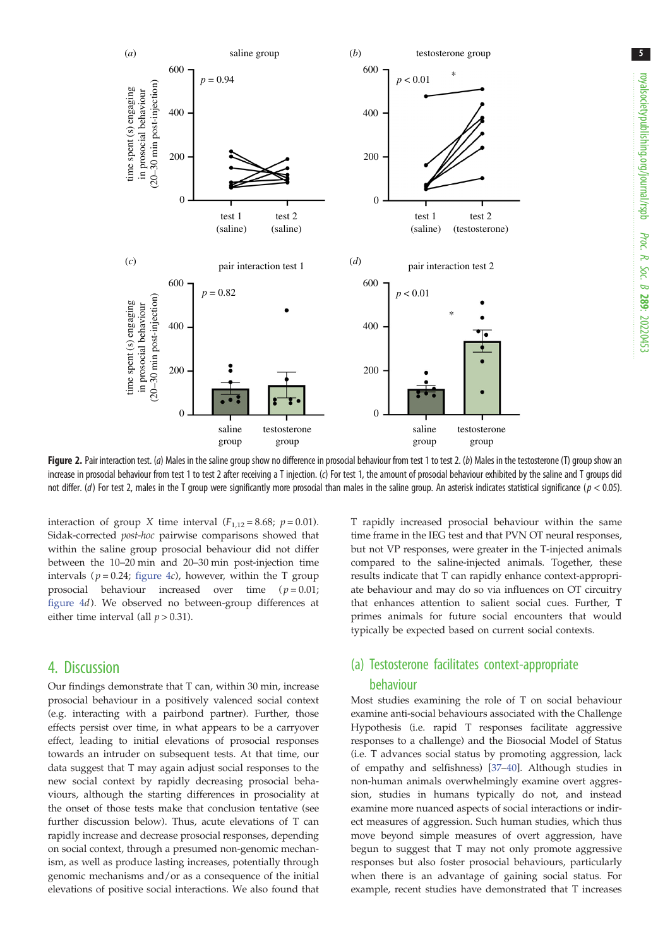<span id="page-4-0"></span>

Figure 2. Pair interaction test. (a) Males in the saline group show no difference in prosocial behaviour from test 1 to test 2. (b) Males in the testosterone (T) group show an increase in prosocial behaviour from test 1 to test 2 after receiving a T injection. (c) For test 1, the amount of prosocial behaviour exhibited by the saline and T groups did not differ. (d) For test 2, males in the T group were significantly more prosocial than males in the saline group. An asterisk indicates statistical significance ( $p < 0.05$ ).

interaction of group X time interval  $(F_{1,12} = 8.68; p = 0.01)$ . Sidak-corrected post-hoc pairwise comparisons showed that within the saline group prosocial behaviour did not differ between the 10–20 min and 20–30 min post-injection time intervals ( $p = 0.24$ ; [figure 4](#page-6-0)c), however, within the T group prosocial behaviour increased over time  $(p=0.01;$ [figure 4](#page-6-0)d). We observed no between-group differences at either time interval (all  $p > 0.31$ ).

## 4. Discussion

Our findings demonstrate that T can, within 30 min, increase prosocial behaviour in a positively valenced social context (e.g. interacting with a pairbond partner). Further, those effects persist over time, in what appears to be a carryover effect, leading to initial elevations of prosocial responses towards an intruder on subsequent tests. At that time, our data suggest that T may again adjust social responses to the new social context by rapidly decreasing prosocial behaviours, although the starting differences in prosociality at the onset of those tests make that conclusion tentative (see further discussion below). Thus, acute elevations of T can rapidly increase and decrease prosocial responses, depending on social context, through a presumed non-genomic mechanism, as well as produce lasting increases, potentially through genomic mechanisms and/or as a consequence of the initial elevations of positive social interactions. We also found that

T rapidly increased prosocial behaviour within the same time frame in the IEG test and that PVN OT neural responses, but not VP responses, were greater in the T-injected animals compared to the saline-injected animals. Together, these results indicate that T can rapidly enhance context-appropriate behaviour and may do so via influences on OT circuitry that enhances attention to salient social cues. Further, T primes animals for future social encounters that would typically be expected based on current social contexts.

## (a) Testosterone facilitates context-appropriate behaviour

Most studies examining the role of T on social behaviour examine anti-social behaviours associated with the Challenge Hypothesis (i.e. rapid T responses facilitate aggressive responses to a challenge) and the Biosocial Model of Status (i.e. T advances social status by promoting aggression, lack of empathy and selfishness) [[37](#page-9-0)–[40](#page-9-0)]. Although studies in non-human animals overwhelmingly examine overt aggression, studies in humans typically do not, and instead examine more nuanced aspects of social interactions or indirect measures of aggression. Such human studies, which thus move beyond simple measures of overt aggression, have begun to suggest that T may not only promote aggressive responses but also foster prosocial behaviours, particularly when there is an advantage of gaining social status. For example, recent studies have demonstrated that T increases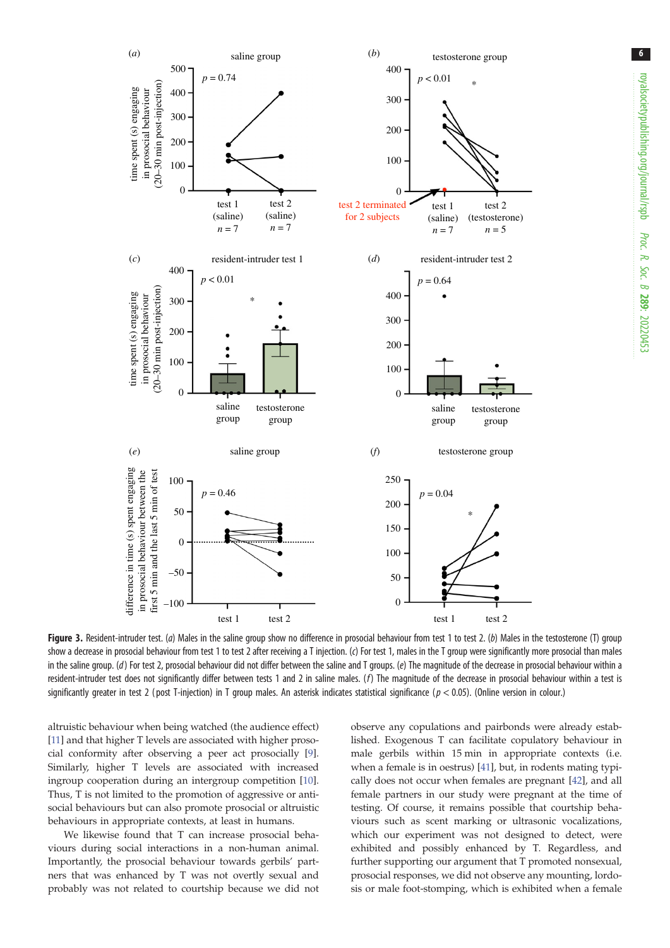<span id="page-5-0"></span>

Figure 3. Resident-intruder test. (a) Males in the saline group show no difference in prosocial behaviour from test 1 to test 2. (b) Males in the testosterone (T) group show a decrease in prosocial behaviour from test 1 to test 2 after receiving a T injection. (c) For test 1, males in the T group were significantly more prosocial than males in the saline group. (d) For test 2, prosocial behaviour did not differ between the saline and T groups. (e) The magnitude of the decrease in prosocial behaviour within a resident-intruder test does not significantly differ between tests 1 and 2 in saline males. ( $f$ ) The magnitude of the decrease in prosocial behaviour within a test is significantly greater in test 2 (post T-injection) in T group males. An asterisk indicates statistical significance ( $p < 0.05$ ). (Online version in colour.)

altruistic behaviour when being watched (the audience effect) [\[11\]](#page-8-0) and that higher T levels are associated with higher prosocial conformity after observing a peer act prosocially [[9](#page-8-0)]. Similarly, higher T levels are associated with increased ingroup cooperation during an intergroup competition [\[10](#page-8-0)]. Thus, T is not limited to the promotion of aggressive or antisocial behaviours but can also promote prosocial or altruistic behaviours in appropriate contexts, at least in humans.

We likewise found that T can increase prosocial behaviours during social interactions in a non-human animal. Importantly, the prosocial behaviour towards gerbils' partners that was enhanced by T was not overtly sexual and probably was not related to courtship because we did not observe any copulations and pairbonds were already established. Exogenous T can facilitate copulatory behaviour in male gerbils within 15 min in appropriate contexts (i.e. when a female is in oestrus) [\[41](#page-9-0)], but, in rodents mating typically does not occur when females are pregnant [\[42](#page-9-0)], and all female partners in our study were pregnant at the time of testing. Of course, it remains possible that courtship behaviours such as scent marking or ultrasonic vocalizations, which our experiment was not designed to detect, were exhibited and possibly enhanced by T. Regardless, and further supporting our argument that T promoted nonsexual, prosocial responses, we did not observe any mounting, lordosis or male foot-stomping, which is exhibited when a female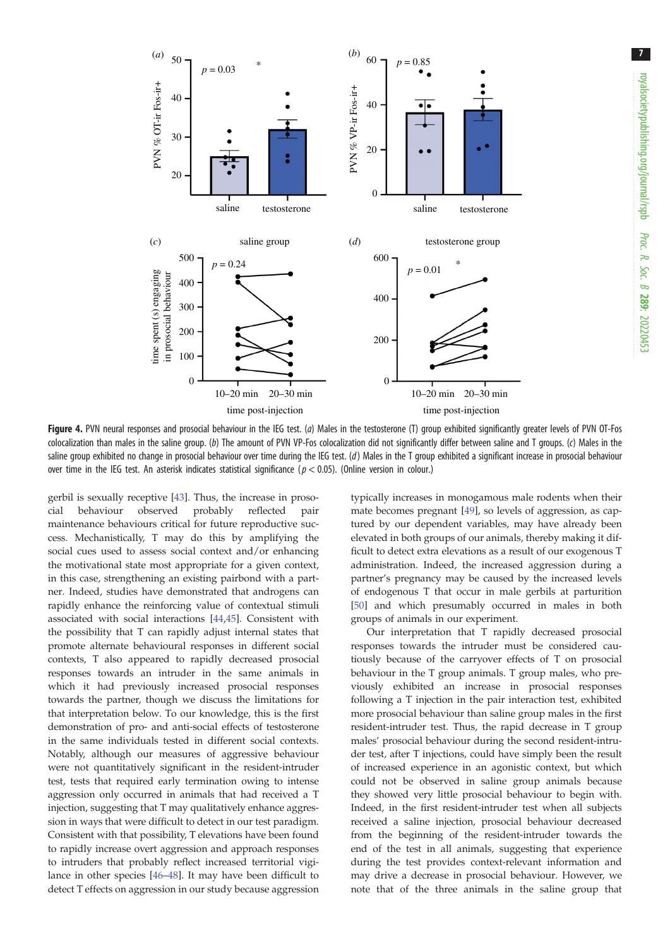<span id="page-6-0"></span>

Figure 4. PVN neural responses and prosocial behaviour in the IEG test. (a) Males in the testosterone (T) group exhibited significantly greater levels of PVN OT-Fos colocalization than males in the saline group. (b) The amount of PVN VP-Fos colocalization did not significantly differ between saline and T groups. (c) Males in the saline group exhibited no change in prosocial behaviour over time during the IEG test. (d) Males in the T group exhibited a significant increase in prosocial behaviour over time in the IEG test. An asterisk indicates statistical significance ( $p < 0.05$ ). (Online version in colour.)

gerbil is sexually receptive [[43\]](#page-9-0). Thus, the increase in prosocial behaviour observed probably reflected pair maintenance behaviours critical for future reproductive success. Mechanistically, T may do this by amplifying the social cues used to assess social context and/or enhancing the motivational state most appropriate for a given context, in this case, strengthening an existing pairbond with a partner. Indeed, studies have demonstrated that androgens can rapidly enhance the reinforcing value of contextual stimuli associated with social interactions [[44,45\]](#page-9-0). Consistent with the possibility that T can rapidly adjust internal states that promote alternate behavioural responses in different social contexts, T also appeared to rapidly decreased prosocial responses towards an intruder in the same animals in which it had previously increased prosocial responses towards the partner, though we discuss the limitations for that interpretation below. To our knowledge, this is the first demonstration of pro- and anti-social effects of testosterone in the same individuals tested in different social contexts. Notably, although our measures of aggressive behaviour were not quantitatively significant in the resident-intruder test, tests that required early termination owing to intense aggression only occurred in animals that had received a T injection, suggesting that T may qualitatively enhance aggression in ways that were difficult to detect in our test paradigm. Consistent with that possibility, T elevations have been found to rapidly increase overt aggression and approach responses to intruders that probably reflect increased territorial vigilance in other species [[46](#page-9-0)–[48](#page-9-0)]. It may have been difficult to detect T effects on aggression in our study because aggression

typically increases in monogamous male rodents when their mate becomes pregnant [[49\]](#page-9-0), so levels of aggression, as captured by our dependent variables, may have already been elevated in both groups of our animals, thereby making it difficult to detect extra elevations as a result of our exogenous T administration. Indeed, the increased aggression during a partner's pregnancy may be caused by the increased levels of endogenous T that occur in male gerbils at parturition [[50\]](#page-9-0) and which presumably occurred in males in both groups of animals in our experiment.

Our interpretation that T rapidly decreased prosocial responses towards the intruder must be considered cautiously because of the carryover effects of T on prosocial behaviour in the T group animals. T group males, who previously exhibited an increase in prosocial responses following a T injection in the pair interaction test, exhibited more prosocial behaviour than saline group males in the first resident-intruder test. Thus, the rapid decrease in T group males' prosocial behaviour during the second resident-intruder test, after T injections, could have simply been the result of increased experience in an agonistic context, but which could not be observed in saline group animals because they showed very little prosocial behaviour to begin with. Indeed, in the first resident-intruder test when all subjects received a saline injection, prosocial behaviour decreased from the beginning of the resident-intruder towards the end of the test in all animals, suggesting that experience during the test provides context-relevant information and may drive a decrease in prosocial behaviour. However, we note that of the three animals in the saline group that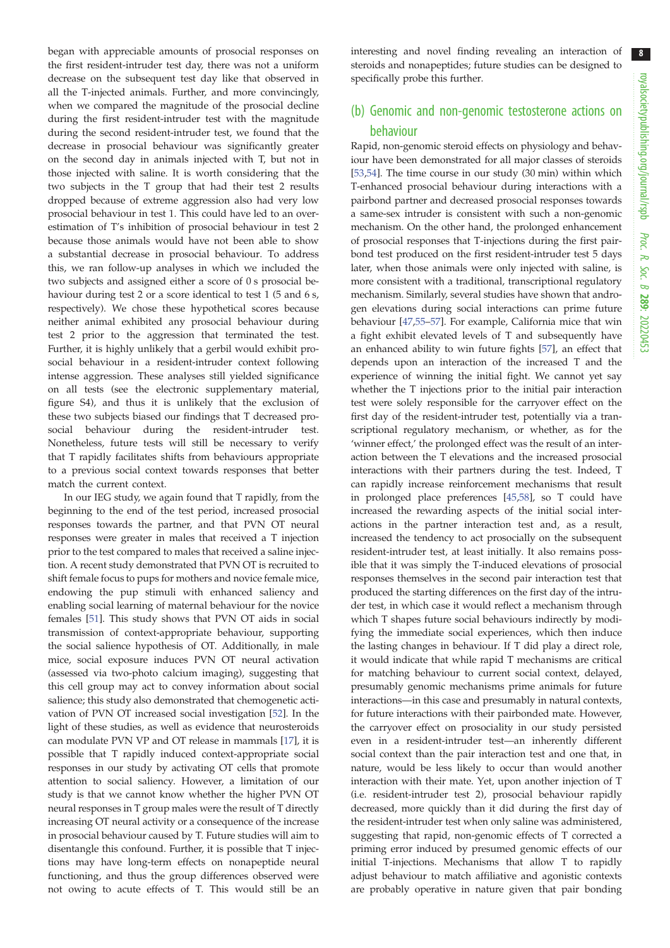began with appreciable amounts of prosocial responses on the first resident-intruder test day, there was not a uniform decrease on the subsequent test day like that observed in all the T-injected animals. Further, and more convincingly, when we compared the magnitude of the prosocial decline during the first resident-intruder test with the magnitude during the second resident-intruder test, we found that the decrease in prosocial behaviour was significantly greater on the second day in animals injected with T, but not in those injected with saline. It is worth considering that the two subjects in the T group that had their test 2 results dropped because of extreme aggression also had very low prosocial behaviour in test 1. This could have led to an overestimation of T's inhibition of prosocial behaviour in test 2 because those animals would have not been able to show a substantial decrease in prosocial behaviour. To address this, we ran follow-up analyses in which we included the two subjects and assigned either a score of 0 s prosocial behaviour during test 2 or a score identical to test 1 (5 and 6 s, respectively). We chose these hypothetical scores because neither animal exhibited any prosocial behaviour during test 2 prior to the aggression that terminated the test. Further, it is highly unlikely that a gerbil would exhibit prosocial behaviour in a resident-intruder context following intense aggression. These analyses still yielded significance on all tests (see the electronic supplementary material, figure S4), and thus it is unlikely that the exclusion of these two subjects biased our findings that T decreased prosocial behaviour during the resident-intruder test. Nonetheless, future tests will still be necessary to verify that T rapidly facilitates shifts from behaviours appropriate to a previous social context towards responses that better match the current context.

In our IEG study, we again found that T rapidly, from the beginning to the end of the test period, increased prosocial responses towards the partner, and that PVN OT neural responses were greater in males that received a T injection prior to the test compared to males that received a saline injection. A recent study demonstrated that PVN OT is recruited to shift female focus to pups for mothers and novice female mice, endowing the pup stimuli with enhanced saliency and enabling social learning of maternal behaviour for the novice females [\[51](#page-9-0)]. This study shows that PVN OT aids in social transmission of context-appropriate behaviour, supporting the social salience hypothesis of OT. Additionally, in male mice, social exposure induces PVN OT neural activation (assessed via two-photo calcium imaging), suggesting that this cell group may act to convey information about social salience; this study also demonstrated that chemogenetic activation of PVN OT increased social investigation [\[52](#page-9-0)]. In the light of these studies, as well as evidence that neurosteroids can modulate PVN VP and OT release in mammals [\[17](#page-8-0)], it is possible that T rapidly induced context-appropriate social responses in our study by activating OT cells that promote attention to social saliency. However, a limitation of our study is that we cannot know whether the higher PVN OT neural responses in T group males were the result of T directly increasing OT neural activity or a consequence of the increase in prosocial behaviour caused by T. Future studies will aim to disentangle this confound. Further, it is possible that T injections may have long-term effects on nonapeptide neural functioning, and thus the group differences observed were not owing to acute effects of T. This would still be an interesting and novel finding revealing an interaction of steroids and nonapeptides; future studies can be designed to specifically probe this further.

## (b) Genomic and non-genomic testosterone actions on behaviour

Rapid, non-genomic steroid effects on physiology and behaviour have been demonstrated for all major classes of steroids [[53,54\]](#page-9-0). The time course in our study (30 min) within which T-enhanced prosocial behaviour during interactions with a pairbond partner and decreased prosocial responses towards a same-sex intruder is consistent with such a non-genomic mechanism. On the other hand, the prolonged enhancement of prosocial responses that T-injections during the first pairbond test produced on the first resident-intruder test 5 days later, when those animals were only injected with saline, is more consistent with a traditional, transcriptional regulatory mechanism. Similarly, several studies have shown that androgen elevations during social interactions can prime future behaviour [[47,55](#page-9-0)–[57\]](#page-9-0). For example, California mice that win a fight exhibit elevated levels of T and subsequently have an enhanced ability to win future fights [[57\]](#page-9-0), an effect that depends upon an interaction of the increased T and the experience of winning the initial fight. We cannot yet say whether the T injections prior to the initial pair interaction test were solely responsible for the carryover effect on the first day of the resident-intruder test, potentially via a transcriptional regulatory mechanism, or whether, as for the 'winner effect,' the prolonged effect was the result of an interaction between the T elevations and the increased prosocial interactions with their partners during the test. Indeed, T can rapidly increase reinforcement mechanisms that result in prolonged place preferences [\[45,58](#page-9-0)], so T could have increased the rewarding aspects of the initial social interactions in the partner interaction test and, as a result, increased the tendency to act prosocially on the subsequent resident-intruder test, at least initially. It also remains possible that it was simply the T-induced elevations of prosocial responses themselves in the second pair interaction test that produced the starting differences on the first day of the intruder test, in which case it would reflect a mechanism through which T shapes future social behaviours indirectly by modifying the immediate social experiences, which then induce the lasting changes in behaviour. If T did play a direct role, it would indicate that while rapid T mechanisms are critical for matching behaviour to current social context, delayed, presumably genomic mechanisms prime animals for future interactions—in this case and presumably in natural contexts, for future interactions with their pairbonded mate. However, the carryover effect on prosociality in our study persisted even in a resident-intruder test—an inherently different social context than the pair interaction test and one that, in nature, would be less likely to occur than would another interaction with their mate. Yet, upon another injection of T (i.e. resident-intruder test 2), prosocial behaviour rapidly decreased, more quickly than it did during the first day of the resident-intruder test when only saline was administered, suggesting that rapid, non-genomic effects of T corrected a priming error induced by presumed genomic effects of our initial T-injections. Mechanisms that allow T to rapidly adjust behaviour to match affiliative and agonistic contexts are probably operative in nature given that pair bonding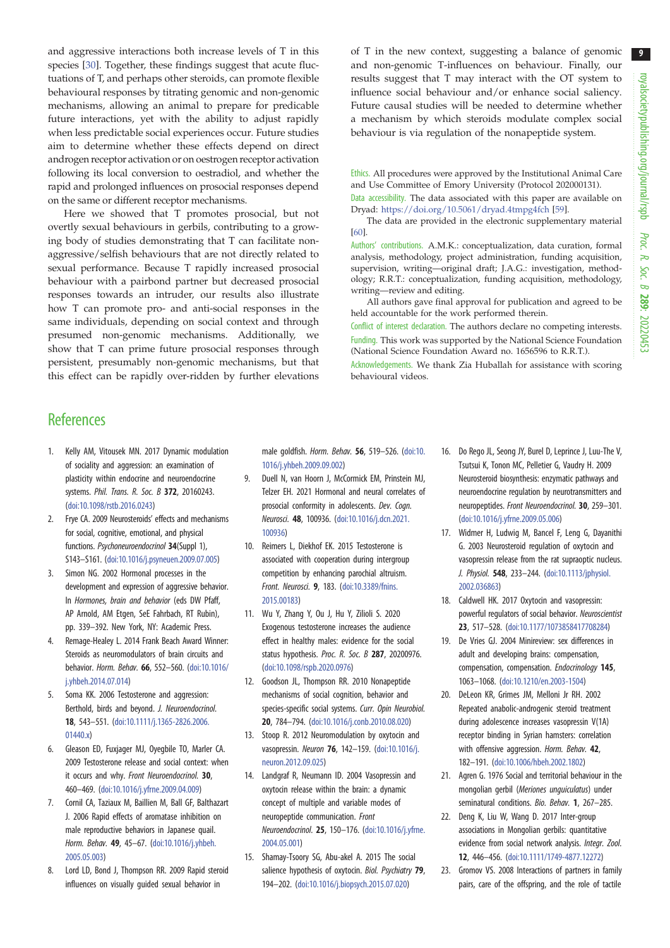<span id="page-8-0"></span>and aggressive interactions both increase levels of T in this species [\[30](#page-9-0)]. Together, these findings suggest that acute fluctuations of T, and perhaps other steroids, can promote flexible behavioural responses by titrating genomic and non-genomic mechanisms, allowing an animal to prepare for predicable future interactions, yet with the ability to adjust rapidly when less predictable social experiences occur. Future studies aim to determine whether these effects depend on direct androgen receptor activation or on oestrogen receptor activation following its local conversion to oestradiol, and whether the rapid and prolonged influences on prosocial responses depend on the same or different receptor mechanisms.

Here we showed that T promotes prosocial, but not overtly sexual behaviours in gerbils, contributing to a growing body of studies demonstrating that T can facilitate nonaggressive/selfish behaviours that are not directly related to sexual performance. Because T rapidly increased prosocial behaviour with a pairbond partner but decreased prosocial responses towards an intruder, our results also illustrate how T can promote pro- and anti-social responses in the same individuals, depending on social context and through presumed non-genomic mechanisms. Additionally, we show that T can prime future prosocial responses through persistent, presumably non-genomic mechanisms, but that this effect can be rapidly over-ridden by further elevations of T in the new context, suggesting a balance of genomic and non-genomic T-influences on behaviour. Finally, our results suggest that T may interact with the OT system to influence social behaviour and/or enhance social saliency. Future causal studies will be needed to determine whether a mechanism by which steroids modulate complex social behaviour is via regulation of the nonapeptide system.

Ethics. All procedures were approved by the Institutional Animal Care and Use Committee of Emory University (Protocol 202000131).

Data accessibility. The data associated with this paper are available on Dryad: <https://doi.org/10.5061/dryad.4tmpg4fch> [[59\]](#page-9-0).

The data are provided in the electronic supplementary material [\[60](#page-9-0)].

Authors' contributions. A.M.K.: conceptualization, data curation, formal analysis, methodology, project administration, funding acquisition, supervision, writing—original draft; J.A.G.: investigation, methodology; R.R.T.: conceptualization, funding acquisition, methodology, writing—review and editing.

All authors gave final approval for publication and agreed to be held accountable for the work performed therein.

Conflict of interest declaration. The authors declare no competing interests. Funding. This work was supported by the National Science Foundation (National Science Foundation Award no. 1656596 to R.R.T.).

Acknowledgements. We thank Zia Huballah for assistance with scoring behavioural videos.

## **References**

- Kelly AM, Vitousek MN. 2017 Dynamic modulation of sociality and aggression: an examination of plasticity within endocrine and neuroendocrine systems. Phil. Trans. R. Soc. B 372, 20160243. [\(doi:10.1098/rstb.2016.0243\)](http://dx.doi.org/10.1098/rstb.2016.0243)
- 2. Frye CA. 2009 Neurosteroids' effects and mechanisms for social, cognitive, emotional, and physical functions. Psychoneuroendocrinol 34(Suppl 1), S143–S161. [\(doi:10.1016/j.psyneuen.2009.07.005](http://dx.doi.org/10.1016/j.psyneuen.2009.07.005))
- 3. Simon NG. 2002 Hormonal processes in the development and expression of aggressive behavior. In Hormones, brain and behavior (eds DW Pfaff, AP Arnold, AM Etgen, SeE Fahrbach, RT Rubin), pp. 339–392. New York, NY: Academic Press.
- Remage-Healey L. 2014 Frank Beach Award Winner: Steroids as neuromodulators of brain circuits and behavior. Horm. Behav. 66, 552–560. ([doi:10.1016/](http://dx.doi.org/10.1016/j.yhbeh.2014.07.014) [j.yhbeh.2014.07.014\)](http://dx.doi.org/10.1016/j.yhbeh.2014.07.014)
- Soma KK. 2006 Testosterone and aggression: Berthold, birds and beyond. J. Neuroendocrinol. 18, 543–551. ([doi:10.1111/j.1365-2826.2006.](http://dx.doi.org/10.1111/j.1365-2826.2006.01440.x) [01440.x\)](http://dx.doi.org/10.1111/j.1365-2826.2006.01440.x)
- 6. Gleason ED, Fuxjager MJ, Oyegbile TO, Marler CA. 2009 Testosterone release and social context: when it occurs and why. Front Neuroendocrinol. 30, 460–469. ([doi:10.1016/j.yfrne.2009.04.009](http://dx.doi.org/10.1016/j.yfrne.2009.04.009))
- 7. Cornil CA, Taziaux M, Baillien M, Ball GF, Balthazart J. 2006 Rapid effects of aromatase inhibition on male reproductive behaviors in Japanese quail. Horm. Behav. 49, 45–67. ([doi:10.1016/j.yhbeh.](http://dx.doi.org/10.1016/j.yhbeh.2005.05.003) [2005.05.003\)](http://dx.doi.org/10.1016/j.yhbeh.2005.05.003)
- 8. Lord LD, Bond J, Thompson RR. 2009 Rapid steroid influences on visually guided sexual behavior in

male goldfish. Horm. Behav. 56, 519–526. [\(doi:10.](http://dx.doi.org/10.1016/j.yhbeh.2009.09.002) [1016/j.yhbeh.2009.09.002\)](http://dx.doi.org/10.1016/j.yhbeh.2009.09.002)

- 9. Duell N, van Hoorn J, McCormick EM, Prinstein MJ, Telzer EH. 2021 Hormonal and neural correlates of prosocial conformity in adolescents. Dev. Cogn. Neurosci. 48, 100936. [\(doi:10.1016/j.dcn.2021.](http://dx.doi.org/10.1016/j.dcn.2021.100936) [100936](http://dx.doi.org/10.1016/j.dcn.2021.100936))
- 10. Reimers L, Diekhof EK. 2015 Testosterone is associated with cooperation during intergroup competition by enhancing parochial altruism. Front. Neurosci. 9, 183. [\(doi:10.3389/fnins.](http://dx.doi.org/10.3389/fnins.2015.00183) [2015.00183\)](http://dx.doi.org/10.3389/fnins.2015.00183)
- 11. Wu Y, Zhang Y, Ou J, Hu Y, Zilioli S. 2020 Exogenous testosterone increases the audience effect in healthy males: evidence for the social status hypothesis. Proc. R. Soc. B 287, 20200976. [\(doi:10.1098/rspb.2020.0976\)](https://doi.org/10.1098/rspb.2020.0976)
- 12. Goodson JL, Thompson RR. 2010 Nonapeptide mechanisms of social cognition, behavior and species-specific social systems. Curr. Opin Neurobiol. 20, 784–794. ([doi:10.1016/j.conb.2010.08.020](http://dx.doi.org/10.1016/j.conb.2010.08.020))
- 13. Stoop R. 2012 Neuromodulation by oxytocin and vasopressin. Neuron 76, 142–159. ([doi:10.1016/j.](http://dx.doi.org/10.1016/j.neuron.2012.09.025) [neuron.2012.09.025\)](http://dx.doi.org/10.1016/j.neuron.2012.09.025)
- 14. Landgraf R, Neumann ID. 2004 Vasopressin and oxytocin release within the brain: a dynamic concept of multiple and variable modes of neuropeptide communication. Front Neuroendocrinol. 25, 150–176. [\(doi:10.1016/j.yfrne.](http://dx.doi.org/10.1016/j.yfrne.2004.05.001) [2004.05.001\)](http://dx.doi.org/10.1016/j.yfrne.2004.05.001)
- 15. Shamay-Tsoory SG, Abu-akel A. 2015 The social salience hypothesis of oxytocin. Biol. Psychiatry 79, 194–202. ([doi:10.1016/j.biopsych.2015.07.020\)](http://dx.doi.org/10.1016/j.biopsych.2015.07.020)
- 16. Do Rego JL, Seong JY, Burel D, Leprince J, Luu-The V, Tsutsui K, Tonon MC, Pelletier G, Vaudry H. 2009 Neurosteroid biosynthesis: enzymatic pathways and neuroendocrine regulation by neurotransmitters and neuropeptides. Front Neuroendocrinol. 30, 259–301. ([doi:10.1016/j.yfrne.2009.05.006](http://dx.doi.org/10.1016/j.yfrne.2009.05.006))
- 17. Widmer H, Ludwig M, Bancel F, Leng G, Dayanithi G. 2003 Neurosteroid regulation of oxytocin and vasopressin release from the rat supraoptic nucleus. J. Physiol. 548, 233–244. ([doi:10.1113/jphysiol.](http://dx.doi.org/10.1113/jphysiol.2002.036863) [2002.036863](http://dx.doi.org/10.1113/jphysiol.2002.036863))
- 18. Caldwell HK. 2017 Oxytocin and vasopressin: powerful regulators of social behavior. Neuroscientist 23, 517–528. ([doi:10.1177/1073858417708284](https://doi.org/10.1177/1073858417708284))
- 19. De Vries GJ. 2004 Minireview: sex differences in adult and developing brains: compensation, compensation, compensation. Endocrinology 145, 1063–1068. [\(doi:10.1210/en.2003-1504\)](http://dx.doi.org/10.1210/en.2003-1504)
- 20. DeLeon KR, Grimes JM, Melloni Jr RH. 2002 Repeated anabolic-androgenic steroid treatment during adolescence increases vasopressin V(1A) receptor binding in Syrian hamsters: correlation with offensive aggression. Horm. Behav. 42, 182–191. [\(doi:10.1006/hbeh.2002.1802](http://dx.doi.org/10.1006/hbeh.2002.1802))
- 21. Agren G. 1976 Social and territorial behaviour in the mongolian gerbil (Meriones unguiculatus) under seminatural conditions. Bio. Behav. 1, 267–285.
- 22. Deng K, Liu W, Wang D. 2017 Inter-group associations in Mongolian gerbils: quantitative evidence from social network analysis. Integr. Zool. 12, 446–456. ([doi:10.1111/1749-4877.12272](http://dx.doi.org/10.1111/1749-4877.12272))
- 23. Gromov VS. 2008 Interactions of partners in family pairs, care of the offspring, and the role of tactile